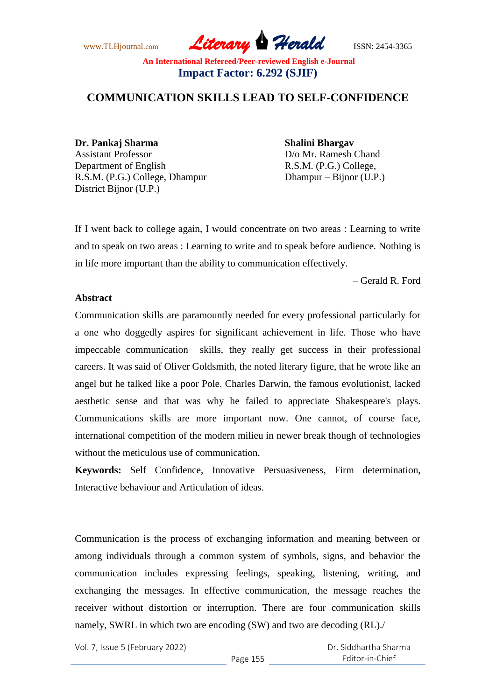www.TLHjournal.com *Literary Herald*ISSN: 2454-3365

# **COMMUNICATION SKILLS LEAD TO SELF-CONFIDENCE**

**Dr. Pankaj Sharma Shalini Bhargav**  Assistant Professor D/o Mr. Ramesh Chand Department of English R.S.M. (P.G.) College, R.S.M. (P.G.) College, Dhampur Dhampur – Bijnor (U.P.) District Bijnor (U.P.)

If I went back to college again, I would concentrate on two areas : Learning to write and to speak on two areas : Learning to write and to speak before audience. Nothing is in life more important than the ability to communication effectively.

– Gerald R. Ford

#### **Abstract**

Communication skills are paramountly needed for every professional particularly for a one who doggedly aspires for significant achievement in life. Those who have impeccable communication skills, they really get success in their professional careers. It was said of Oliver Goldsmith, the noted literary figure, that he wrote like an angel but he talked like a poor Pole. Charles Darwin, the famous evolutionist, lacked aesthetic sense and that was why he failed to appreciate Shakespeare's plays. Communications skills are more important now. One cannot, of course face, international competition of the modern milieu in newer break though of technologies without the meticulous use of communication.

**Keywords:** Self Confidence, Innovative Persuasiveness, Firm determination, Interactive behaviour and Articulation of ideas.

Communication is the process of exchanging information and meaning between or among individuals through a common system of symbols, signs, and behavior the communication includes expressing feelings, speaking, listening, writing, and exchanging the messages. In effective communication, the message reaches the receiver without distortion or interruption. There are four communication skills namely, SWRL in which two are encoding (SW) and two are decoding (RL)./

Vol. 7, Issue 5 (February 2022)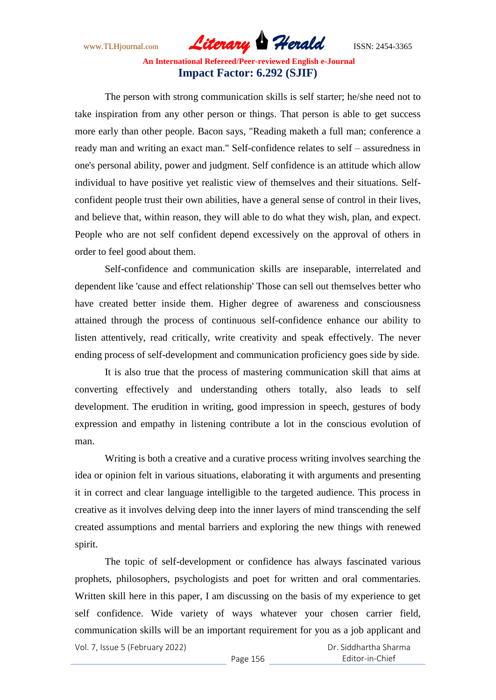www.TLHjournal.com *Literary Herald*ISSN: 2454-3365

The person with strong communication skills is self starter; he/she need not to take inspiration from any other person or things. That person is able to get success more early than other people. Bacon says, "Reading maketh a full man; conference a ready man and writing an exact man." Self-confidence relates to self – assuredness in one's personal ability, power and judgment. Self confidence is an attitude which allow individual to have positive yet realistic view of themselves and their situations. Selfconfident people trust their own abilities, have a general sense of control in their lives, and believe that, within reason, they will able to do what they wish, plan, and expect. People who are not self confident depend excessively on the approval of others in order to feel good about them.

Self-confidence and communication skills are inseparable, interrelated and dependent like 'cause and effect relationship' Those can sell out themselves better who have created better inside them. Higher degree of awareness and consciousness attained through the process of continuous self-confidence enhance our ability to listen attentively, read critically, write creativity and speak effectively. The never ending process of self-development and communication proficiency goes side by side.

It is also true that the process of mastering communication skill that aims at converting effectively and understanding others totally, also leads to self development. The erudition in writing, good impression in speech, gestures of body expression and empathy in listening contribute a lot in the conscious evolution of man.

Writing is both a creative and a curative process writing involves searching the idea or opinion felt in various situations, elaborating it with arguments and presenting it in correct and clear language intelligible to the targeted audience. This process in creative as it involves delving deep into the inner layers of mind transcending the self created assumptions and mental barriers and exploring the new things with renewed spirit.

Vol. 7, Issue 5 (February 2022) The topic of self-development or confidence has always fascinated various prophets, philosophers, psychologists and poet for written and oral commentaries. Written skill here in this paper, I am discussing on the basis of my experience to get self confidence. Wide variety of ways whatever your chosen carrier field, communication skills will be an important requirement for you as a job applicant and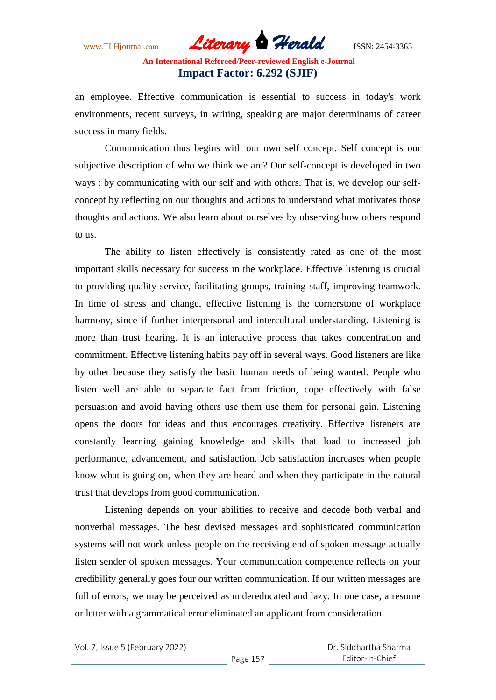www.TLHjournal.com *Literary Herald*ISSN: 2454-3365

an employee. Effective communication is essential to success in today's work environments, recent surveys, in writing, speaking are major determinants of career success in many fields.

Communication thus begins with our own self concept. Self concept is our subjective description of who we think we are? Our self-concept is developed in two ways : by communicating with our self and with others. That is, we develop our selfconcept by reflecting on our thoughts and actions to understand what motivates those thoughts and actions. We also learn about ourselves by observing how others respond to us.

The ability to listen effectively is consistently rated as one of the most important skills necessary for success in the workplace. Effective listening is crucial to providing quality service, facilitating groups, training staff, improving teamwork. In time of stress and change, effective listening is the cornerstone of workplace harmony, since if further interpersonal and intercultural understanding. Listening is more than trust hearing. It is an interactive process that takes concentration and commitment. Effective listening habits pay off in several ways. Good listeners are like by other because they satisfy the basic human needs of being wanted. People who listen well are able to separate fact from friction, cope effectively with false persuasion and avoid having others use them use them for personal gain. Listening opens the doors for ideas and thus encourages creativity. Effective listeners are constantly learning gaining knowledge and skills that load to increased job performance, advancement, and satisfaction. Job satisfaction increases when people know what is going on, when they are heard and when they participate in the natural trust that develops from good communication.

Listening depends on your abilities to receive and decode both verbal and nonverbal messages. The best devised messages and sophisticated communication systems will not work unless people on the receiving end of spoken message actually listen sender of spoken messages. Your communication competence reflects on your credibility generally goes four our written communication. If our written messages are full of errors, we may be perceived as undereducated and lazy. In one case, a resume or letter with a grammatical error eliminated an applicant from consideration.

Vol. 7, Issue 5 (February 2022)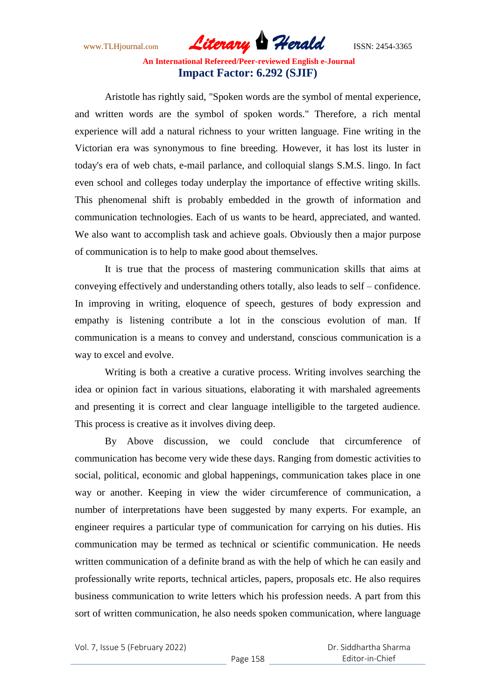www.TLHjournal.com *Literary Herald*ISSN: 2454-3365

Aristotle has rightly said, "Spoken words are the symbol of mental experience, and written words are the symbol of spoken words." Therefore, a rich mental experience will add a natural richness to your written language. Fine writing in the Victorian era was synonymous to fine breeding. However, it has lost its luster in today's era of web chats, e-mail parlance, and colloquial slangs S.M.S. lingo. In fact even school and colleges today underplay the importance of effective writing skills. This phenomenal shift is probably embedded in the growth of information and communication technologies. Each of us wants to be heard, appreciated, and wanted. We also want to accomplish task and achieve goals. Obviously then a major purpose of communication is to help to make good about themselves.

It is true that the process of mastering communication skills that aims at conveying effectively and understanding others totally, also leads to self – confidence. In improving in writing, eloquence of speech, gestures of body expression and empathy is listening contribute a lot in the conscious evolution of man. If communication is a means to convey and understand, conscious communication is a way to excel and evolve.

Writing is both a creative a curative process. Writing involves searching the idea or opinion fact in various situations, elaborating it with marshaled agreements and presenting it is correct and clear language intelligible to the targeted audience. This process is creative as it involves diving deep.

By Above discussion, we could conclude that circumference of communication has become very wide these days. Ranging from domestic activities to social, political, economic and global happenings, communication takes place in one way or another. Keeping in view the wider circumference of communication, a number of interpretations have been suggested by many experts. For example, an engineer requires a particular type of communication for carrying on his duties. His communication may be termed as technical or scientific communication. He needs written communication of a definite brand as with the help of which he can easily and professionally write reports, technical articles, papers, proposals etc. He also requires business communication to write letters which his profession needs. A part from this sort of written communication, he also needs spoken communication, where language

Vol. 7, Issue 5 (February 2022)